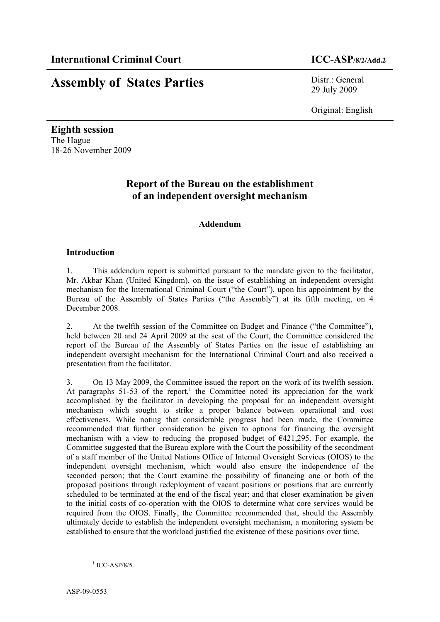# **Assembly of States Parties** Distr.: General

29 July 2009

Original: English

**Eighth session** The Hague 18-26 November 2009

### **Report of the Bureau on the establishment of an independent oversight mechanism**

#### **Addendum**

#### **Introduction**

1. This addendum report is submitted pursuant to the mandate given to the facilitator, Mr. Akbar Khan (United Kingdom), on the issue of establishing an independent oversight mechanism for the International Criminal Court ("the Court"), upon his appointment by the Bureau of the Assembly of States Parties ("the Assembly") at its fifth meeting, on 4 December 2008.

2. At the twelfth session of the Committee on Budget and Finance ("the Committee"), held between 20 and 24 April 2009 at the seat of the Court, the Committee considered the report of the Bureau of the Assembly of States Parties on the issue of establishing an independent oversight mechanism for the International Criminal Court and also received a presentation from the facilitator.

3. On 13 May 2009, the Committee issued the report on the work of its twelfth session. At paragraphs  $51-53$  of the report,<sup>1</sup> the Committee noted its appreciation for the work accomplished by the facilitator in developing the proposal for an independent oversight mechanism which sought to strike a proper balance between operational and cost effectiveness. While noting that considerable progress had been made, the Committee recommended that further consideration be given to options for financing the oversight mechanism with a view to reducing the proposed budget of  $E421,295$ . For example, the Committee suggested that the Bureau explore with the Court the possibility of the secondment of a staff member of the United Nations Office of Internal Oversight Services (OIOS) to the independent oversight mechanism, which would also ensure the independence of the seconded person; that the Court examine the possibility of financing one or both of the proposed positions through redeployment of vacant positions or positions that are currently scheduled to be terminated at the end of the fiscal year; and that closer examination be given to the initial costs of co-operation with the OIOS to determine what core services would be required from the OIOS. Finally, the Committee recommended that, should the Assembly ultimately decide to establish the independent oversight mechanism, a monitoring system be established to ensure that the workload justified the existence of these positions over time.

 $1$  ICC-ASP/8/5.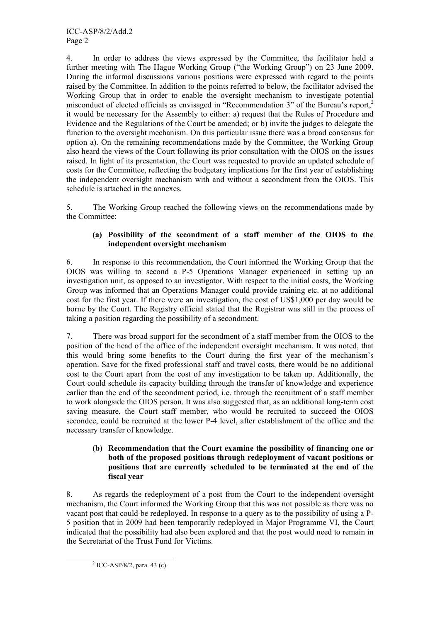4. In order to address the views expressed by the Committee, the facilitator held a further meeting with The Hague Working Group ("the Working Group") on 23 June 2009. During the informal discussions various positions were expressed with regard to the points raised by the Committee. In addition to the points referred to below, the facilitator advised the Working Group that in order to enable the oversight mechanism to investigate potential misconduct of elected officials as envisaged in "Recommendation 3" of the Bureau's report, 2 it would be necessary for the Assembly to either: a) request that the Rules of Procedure and Evidence and the Regulations of the Court be amended; or b) invite the judges to delegate the function to the oversight mechanism. On this particular issue there was a broad consensus for option a). On the remaining recommendations made by the Committee, the Working Group also heard the views of the Court following its prior consultation with the OIOS on the issues raised. In light of its presentation, the Court was requested to provide an updated schedule of costs for the Committee, reflecting the budgetary implications for the first year of establishing the independent oversight mechanism with and without a secondment from the OIOS. This schedule is attached in the annexes.

5. The Working Group reached the following views on the recommendations made by the Committee:

#### **(a) Possibility of the secondment of a staff member of the OIOS to the independent oversight mechanism**

6. In response to this recommendation, the Court informed the Working Group that the OIOS was willing to second a P-5 Operations Manager experienced in setting up an investigation unit, as opposed to an investigator. With respect to the initial costs, the Working Group was informed that an Operations Manager could provide training etc. at no additional cost for the first year. If there were an investigation, the cost of US\$1,000 per day would be borne by the Court. The Registry official stated that the Registrar was still in the process of taking a position regarding the possibility of a secondment.

7. There was broad support for the secondment of a staff member from the OIOS to the position of the head of the office of the independent oversight mechanism. It was noted, that this would bring some benefits to the Court during the first year of the mechanism's operation. Save for the fixed professional staff and travel costs, there would be no additional cost to the Court apart from the cost of any investigation to be taken up. Additionally, the Court could schedule its capacity building through the transfer of knowledge and experience earlier than the end of the secondment period, i.e. through the recruitment of a staff member to work alongside the OIOS person. It was also suggested that, as an additional long-term cost saving measure, the Court staff member, who would be recruited to succeed the OIOS secondee, could be recruited at the lower P-4 level, after establishment of the office and the necessary transfer of knowledge.

#### **(b) Recommendation that the Court examine the possibility of financing one or both of the proposed positions through redeployment of vacant positions or positions that are currently scheduled to be terminated at the end of the fiscal year**

8. As regards the redeployment of a post from the Court to the independent oversight mechanism, the Court informed the Working Group that this was not possible as there was no vacant post that could be redeployed. In response to a query as to the possibility of using a P-5 position that in 2009 had been temporarily redeployed in Major Programme VI, the Court indicated that the possibility had also been explored and that the post would need to remain in the Secretariat of the Trust Fund for Victims.

 $2$  ICC-ASP/8/2, para. 43 (c).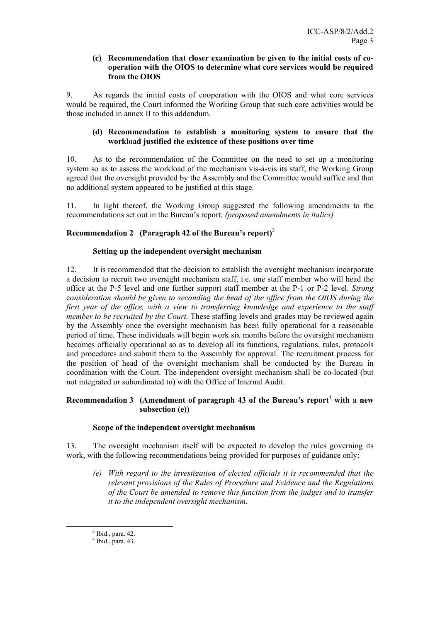#### **(c) Recommendation that closer examination be given to the initial costs of cooperation with the OIOS to determine what core services would be required from the OIOS**

9. As regards the initial costs of cooperation with the OIOS and what core services would be required, the Court informed the Working Group that such core activities would be those included in annex II to this addendum.

#### **(d) Recommendation to establish a monitoring system to ensure that the workload justified the existence of these positions over time**

10. As to the recommendation of the Committee on the need to set up a monitoring system so as to assess the workload of the mechanism vis-à-vis its staff, the Working Group agreed that the oversight provided by the Assembly and the Committee would suffice and that no additional system appeared to be justified at this stage.

11. In light thereof, the Working Group suggested the following amendments to the recommendations set out in the Bureau's report: *(proposed amendments in italics)*

#### **Recommendation 2 (Paragraph 42 of the Bureau's report)** 3

#### **Setting up the independent oversight mechanism**

12. It is recommended that the decision to establish the oversight mechanism incorporate a decision to recruit two oversight mechanism staff, i.e. one staff member who will head the office at the P-5 level and one further support staff member at the P-1 or P-2 level. *Strong* c*onsideration should be given to seconding the head of the office from the OIOS during the first year of the office, with a view to transferring knowledge and experience to the staff member to be recruited by the Court.* These staffing levels and grades may be reviewed again by the Assembly once the oversight mechanism has been fully operational for a reasonable period of time. These individuals will begin work six months before the oversight mechanism becomes officially operational so as to develop all its functions, regulations, rules, protocols and procedures and submit them to the Assembly for approval. The recruitment process for the position of head of the oversight mechanism shall be conducted by the Bureau in coordination with the Court. The independent oversight mechanism shall be co-located (but not integrated or subordinated to) with the Office of Internal Audit.

#### **Recommendation 3 (Amendment of paragraph 43 of the Bureau's report** <sup>4</sup> **with a new subsection (e))**

#### **Scope of the independent oversight mechanism**

13. The oversight mechanism itself will be expected to develop the rules governing its work, with the following recommendations being provided for purposes of guidance only:

*(e) With regard to the investigation of elected officials it is recommended that the relevant provisions of the Rules of Procedure and Evidence and the Regulations of the Court be amended to remove this function from the judges and to transfer it to the independent oversight mechanism.*

 $3$  Ibid., para. 42.<br> $4$  Ibid., para. 43.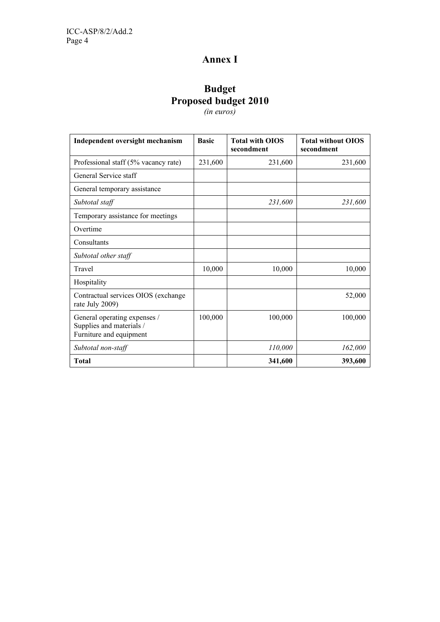# **Annex I**

## **Budget Proposed budget 2010**

*(in euros)*

| Independent oversight mechanism                                                     | <b>Basic</b> | <b>Total with OIOS</b><br>secondment | <b>Total without OIOS</b><br>secondment |
|-------------------------------------------------------------------------------------|--------------|--------------------------------------|-----------------------------------------|
| Professional staff (5% vacancy rate)                                                | 231,600      | 231,600                              | 231,600                                 |
| General Service staff                                                               |              |                                      |                                         |
| General temporary assistance                                                        |              |                                      |                                         |
| Subtotal staff                                                                      |              | 231,600                              | 231,600                                 |
| Temporary assistance for meetings                                                   |              |                                      |                                         |
| Overtime                                                                            |              |                                      |                                         |
| Consultants                                                                         |              |                                      |                                         |
| Subtotal other staff                                                                |              |                                      |                                         |
| Travel                                                                              | 10,000       | 10,000                               | 10,000                                  |
| Hospitality                                                                         |              |                                      |                                         |
| Contractual services OIOS (exchange<br>rate July 2009)                              |              |                                      | 52,000                                  |
| General operating expenses /<br>Supplies and materials /<br>Furniture and equipment | 100,000      | 100,000                              | 100,000                                 |
| Subtotal non-staff                                                                  |              | 110,000                              | 162,000                                 |
| <b>Total</b>                                                                        |              | 341,600                              | 393,600                                 |